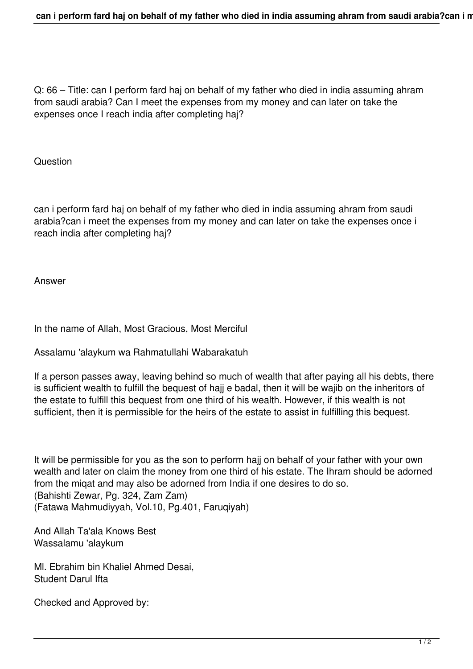Q: 66 – Title: can I perform fard haj on behalf of my father who died in india assuming ahram from saudi arabia? Can I meet the expenses from my money and can later on take the expenses once I reach india after completing haj?

**Question** 

can i perform fard haj on behalf of my father who died in india assuming ahram from saudi arabia?can i meet the expenses from my money and can later on take the expenses once i reach india after completing haj?

Answer

In the name of Allah, Most Gracious, Most Merciful

Assalamu 'alaykum wa Rahmatullahi Wabarakatuh

If a person passes away, leaving behind so much of wealth that after paying all his debts, there is sufficient wealth to fulfill the bequest of hajj e badal, then it will be wajib on the inheritors of the estate to fulfill this bequest from one third of his wealth. However, if this wealth is not sufficient, then it is permissible for the heirs of the estate to assist in fulfilling this bequest.

It will be permissible for you as the son to perform hajj on behalf of your father with your own wealth and later on claim the money from one third of his estate. The Ihram should be adorned from the miqat and may also be adorned from India if one desires to do so. (Bahishti Zewar, Pg. 324, Zam Zam) (Fatawa Mahmudiyyah, Vol.10, Pg.401, Faruqiyah)

And Allah Ta'ala Knows Best Wassalamu 'alaykum

Ml. Ebrahim bin Khaliel Ahmed Desai, Student Darul Ifta

Checked and Approved by: